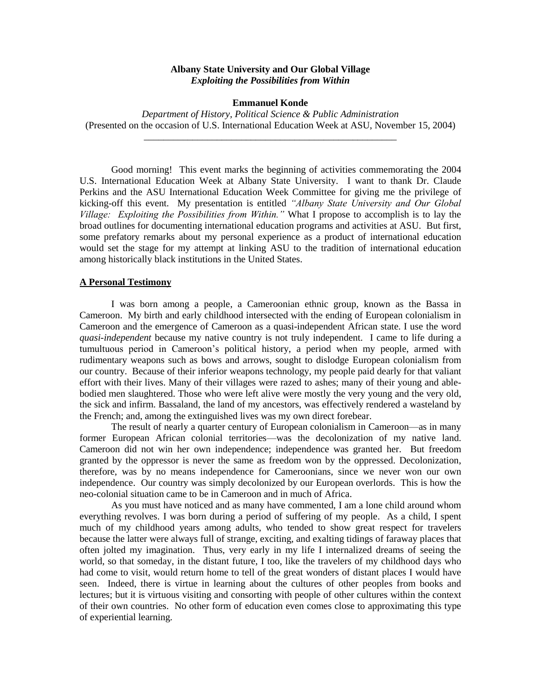#### **Albany State University and Our Global Village** *Exploiting the Possibilities from Within*

#### **Emmanuel Konde**

*Department of History, Political Science & Public Administration* (Presented on the occasion of U.S. International Education Week at ASU, November 15, 2004) \_\_\_\_\_\_\_\_\_\_\_\_\_\_\_\_\_\_\_\_\_\_\_\_\_\_\_\_\_\_\_\_\_\_\_\_\_\_\_\_\_\_\_\_\_\_\_\_\_\_\_\_

Good morning! This event marks the beginning of activities commemorating the 2004 U.S. International Education Week at Albany State University. I want to thank Dr. Claude Perkins and the ASU International Education Week Committee for giving me the privilege of kicking-off this event. My presentation is entitled *"Albany State University and Our Global Village: Exploiting the Possibilities from Within."* What I propose to accomplish is to lay the broad outlines for documenting international education programs and activities at ASU. But first, some prefatory remarks about my personal experience as a product of international education would set the stage for my attempt at linking ASU to the tradition of international education among historically black institutions in the United States.

#### **A Personal Testimony**

I was born among a people, a Cameroonian ethnic group, known as the Bassa in Cameroon. My birth and early childhood intersected with the ending of European colonialism in Cameroon and the emergence of Cameroon as a quasi-independent African state. I use the word *quasi-independent* because my native country is not truly independent. I came to life during a tumultuous period in Cameroon's political history, a period when my people, armed with rudimentary weapons such as bows and arrows, sought to dislodge European colonialism from our country. Because of their inferior weapons technology, my people paid dearly for that valiant effort with their lives. Many of their villages were razed to ashes; many of their young and ablebodied men slaughtered. Those who were left alive were mostly the very young and the very old, the sick and infirm. Bassaland, the land of my ancestors, was effectively rendered a wasteland by the French; and, among the extinguished lives was my own direct forebear.

The result of nearly a quarter century of European colonialism in Cameroon—as in many former European African colonial territories—was the decolonization of my native land. Cameroon did not win her own independence; independence was granted her. But freedom granted by the oppressor is never the same as freedom won by the oppressed. Decolonization, therefore, was by no means independence for Cameroonians, since we never won our own independence. Our country was simply decolonized by our European overlords. This is how the neo-colonial situation came to be in Cameroon and in much of Africa.

As you must have noticed and as many have commented, I am a lone child around whom everything revolves. I was born during a period of suffering of my people. As a child, I spent much of my childhood years among adults, who tended to show great respect for travelers because the latter were always full of strange, exciting, and exalting tidings of faraway places that often jolted my imagination. Thus, very early in my life I internalized dreams of seeing the world, so that someday, in the distant future, I too, like the travelers of my childhood days who had come to visit, would return home to tell of the great wonders of distant places I would have seen. Indeed, there is virtue in learning about the cultures of other peoples from books and lectures; but it is virtuous visiting and consorting with people of other cultures within the context of their own countries. No other form of education even comes close to approximating this type of experiential learning.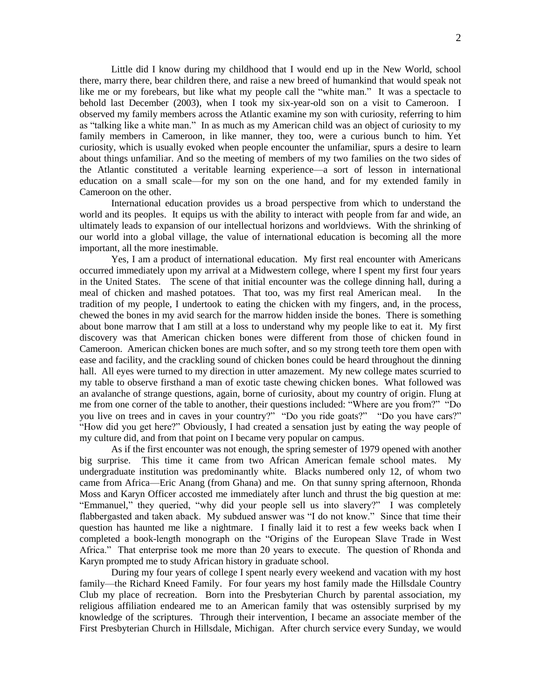Little did I know during my childhood that I would end up in the New World, school there, marry there, bear children there, and raise a new breed of humankind that would speak not like me or my forebears, but like what my people call the "white man." It was a spectacle to behold last December (2003), when I took my six-year-old son on a visit to Cameroon. I observed my family members across the Atlantic examine my son with curiosity, referring to him as "talking like a white man." In as much as my American child was an object of curiosity to my family members in Cameroon, in like manner, they too, were a curious bunch to him. Yet curiosity, which is usually evoked when people encounter the unfamiliar, spurs a desire to learn about things unfamiliar. And so the meeting of members of my two families on the two sides of the Atlantic constituted a veritable learning experience—a sort of lesson in international education on a small scale—for my son on the one hand, and for my extended family in Cameroon on the other.

International education provides us a broad perspective from which to understand the world and its peoples. It equips us with the ability to interact with people from far and wide, an ultimately leads to expansion of our intellectual horizons and worldviews. With the shrinking of our world into a global village, the value of international education is becoming all the more important, all the more inestimable.

Yes, I am a product of international education. My first real encounter with Americans occurred immediately upon my arrival at a Midwestern college, where I spent my first four years in the United States. The scene of that initial encounter was the college dinning hall, during a meal of chicken and mashed potatoes. That too, was my first real American meal. In the tradition of my people, I undertook to eating the chicken with my fingers, and, in the process, chewed the bones in my avid search for the marrow hidden inside the bones. There is something about bone marrow that I am still at a loss to understand why my people like to eat it. My first discovery was that American chicken bones were different from those of chicken found in Cameroon. American chicken bones are much softer, and so my strong teeth tore them open with ease and facility, and the crackling sound of chicken bones could be heard throughout the dinning hall. All eyes were turned to my direction in utter amazement. My new college mates scurried to my table to observe firsthand a man of exotic taste chewing chicken bones. What followed was an avalanche of strange questions, again, borne of curiosity, about my country of origin. Flung at me from one corner of the table to another, their questions included: "Where are you from?" "Do you live on trees and in caves in your country?" "Do you ride goats?" "Do you have cars?" "How did you get here?" Obviously, I had created a sensation just by eating the way people of my culture did, and from that point on I became very popular on campus.

As if the first encounter was not enough, the spring semester of 1979 opened with another big surprise. This time it came from two African American female school mates. My undergraduate institution was predominantly white. Blacks numbered only 12, of whom two came from Africa—Eric Anang (from Ghana) and me. On that sunny spring afternoon, Rhonda Moss and Karyn Officer accosted me immediately after lunch and thrust the big question at me: "Emmanuel," they queried, "why did your people sell us into slavery?" I was completely flabbergasted and taken aback. My subdued answer was "I do not know." Since that time their question has haunted me like a nightmare. I finally laid it to rest a few weeks back when I completed a book-length monograph on the "Origins of the European Slave Trade in West Africa." That enterprise took me more than 20 years to execute. The question of Rhonda and Karyn prompted me to study African history in graduate school.

During my four years of college I spent nearly every weekend and vacation with my host family—the Richard Kneed Family. For four years my host family made the Hillsdale Country Club my place of recreation. Born into the Presbyterian Church by parental association, my religious affiliation endeared me to an American family that was ostensibly surprised by my knowledge of the scriptures. Through their intervention, I became an associate member of the First Presbyterian Church in Hillsdale, Michigan. After church service every Sunday, we would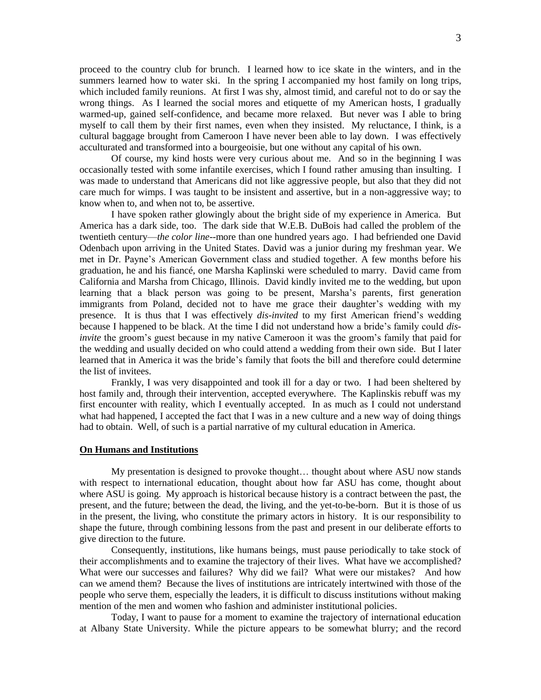proceed to the country club for brunch. I learned how to ice skate in the winters, and in the summers learned how to water ski. In the spring I accompanied my host family on long trips, which included family reunions. At first I was shy, almost timid, and careful not to do or say the wrong things. As I learned the social mores and etiquette of my American hosts, I gradually warmed-up, gained self-confidence, and became more relaxed. But never was I able to bring myself to call them by their first names, even when they insisted. My reluctance, I think, is a cultural baggage brought from Cameroon I have never been able to lay down. I was effectively acculturated and transformed into a bourgeoisie, but one without any capital of his own.

Of course, my kind hosts were very curious about me. And so in the beginning I was occasionally tested with some infantile exercises, which I found rather amusing than insulting. I was made to understand that Americans did not like aggressive people, but also that they did not care much for wimps. I was taught to be insistent and assertive, but in a non-aggressive way; to know when to, and when not to, be assertive.

I have spoken rather glowingly about the bright side of my experience in America. But America has a dark side, too. The dark side that W.E.B. DuBois had called the problem of the twentieth century—*the color line*--more than one hundred years ago. I had befriended one David Odenbach upon arriving in the United States. David was a junior during my freshman year. We met in Dr. Payne's American Government class and studied together. A few months before his graduation, he and his fiancé, one Marsha Kaplinski were scheduled to marry. David came from California and Marsha from Chicago, Illinois. David kindly invited me to the wedding, but upon learning that a black person was going to be present, Marsha's parents, first generation immigrants from Poland, decided not to have me grace their daughter's wedding with my presence. It is thus that I was effectively *dis-invited* to my first American friend's wedding because I happened to be black. At the time I did not understand how a bride's family could *disinvite* the groom's guest because in my native Cameroon it was the groom's family that paid for the wedding and usually decided on who could attend a wedding from their own side. But I later learned that in America it was the bride's family that foots the bill and therefore could determine the list of invitees.

Frankly, I was very disappointed and took ill for a day or two. I had been sheltered by host family and, through their intervention, accepted everywhere. The Kaplinskis rebuff was my first encounter with reality, which I eventually accepted. In as much as I could not understand what had happened, I accepted the fact that I was in a new culture and a new way of doing things had to obtain. Well, of such is a partial narrative of my cultural education in America.

# **On Humans and Institutions**

My presentation is designed to provoke thought… thought about where ASU now stands with respect to international education, thought about how far ASU has come, thought about where ASU is going. My approach is historical because history is a contract between the past, the present, and the future; between the dead, the living, and the yet-to-be-born. But it is those of us in the present, the living, who constitute the primary actors in history. It is our responsibility to shape the future, through combining lessons from the past and present in our deliberate efforts to give direction to the future.

Consequently, institutions, like humans beings, must pause periodically to take stock of their accomplishments and to examine the trajectory of their lives. What have we accomplished? What were our successes and failures? Why did we fail? What were our mistakes? And how can we amend them? Because the lives of institutions are intricately intertwined with those of the people who serve them, especially the leaders, it is difficult to discuss institutions without making mention of the men and women who fashion and administer institutional policies.

Today, I want to pause for a moment to examine the trajectory of international education at Albany State University. While the picture appears to be somewhat blurry; and the record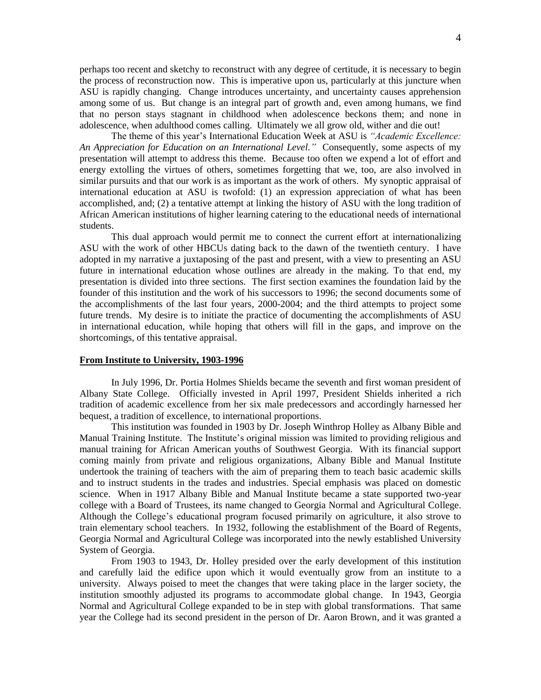perhaps too recent and sketchy to reconstruct with any degree of certitude, it is necessary to begin the process of reconstruction now. This is imperative upon us, particularly at this juncture when ASU is rapidly changing. Change introduces uncertainty, and uncertainty causes apprehension among some of us. But change is an integral part of growth and, even among humans, we find that no person stays stagnant in childhood when adolescence beckons them; and none in adolescence, when adulthood comes calling. Ultimately we all grow old, wither and die out!

The theme of this year's International Education Week at ASU is *"Academic Excellence: An Appreciation for Education on an International Level."* Consequently, some aspects of my presentation will attempt to address this theme. Because too often we expend a lot of effort and energy extolling the virtues of others, sometimes forgetting that we, too, are also involved in similar pursuits and that our work is as important as the work of others. My synoptic appraisal of international education at ASU is twofold: (1) an expression appreciation of what has been accomplished, and; (2) a tentative attempt at linking the history of ASU with the long tradition of African American institutions of higher learning catering to the educational needs of international students.

This dual approach would permit me to connect the current effort at internationalizing ASU with the work of other HBCUs dating back to the dawn of the twentieth century. I have adopted in my narrative a juxtaposing of the past and present, with a view to presenting an ASU future in international education whose outlines are already in the making. To that end, my presentation is divided into three sections. The first section examines the foundation laid by the founder of this institution and the work of his successors to 1996; the second documents some of the accomplishments of the last four years, 2000-2004; and the third attempts to project some future trends. My desire is to initiate the practice of documenting the accomplishments of ASU in international education, while hoping that others will fill in the gaps, and improve on the shortcomings, of this tentative appraisal.

# **From Institute to University, 1903-1996**

In July 1996, Dr. Portia Holmes Shields became the seventh and first woman president of Albany State College. Officially invested in April 1997, President Shields inherited a rich tradition of academic excellence from her six male predecessors and accordingly harnessed her bequest, a tradition of excellence, to international proportions.

This institution was founded in 1903 by Dr. Joseph Winthrop Holley as Albany Bible and Manual Training Institute. The Institute's original mission was limited to providing religious and manual training for African American youths of Southwest Georgia. With its financial support coming mainly from private and religious organizations, Albany Bible and Manual Institute undertook the training of teachers with the aim of preparing them to teach basic academic skills and to instruct students in the trades and industries. Special emphasis was placed on domestic science. When in 1917 Albany Bible and Manual Institute became a state supported two-year college with a Board of Trustees, its name changed to Georgia Normal and Agricultural College. Although the College's educational program focused primarily on agriculture, it also strove to train elementary school teachers. In 1932, following the establishment of the Board of Regents, Georgia Normal and Agricultural College was incorporated into the newly established University System of Georgia.

From 1903 to 1943, Dr. Holley presided over the early development of this institution and carefully laid the edifice upon which it would eventually grow from an institute to a university. Always poised to meet the changes that were taking place in the larger society, the institution smoothly adjusted its programs to accommodate global change. In 1943, Georgia Normal and Agricultural College expanded to be in step with global transformations. That same year the College had its second president in the person of Dr. Aaron Brown, and it was granted a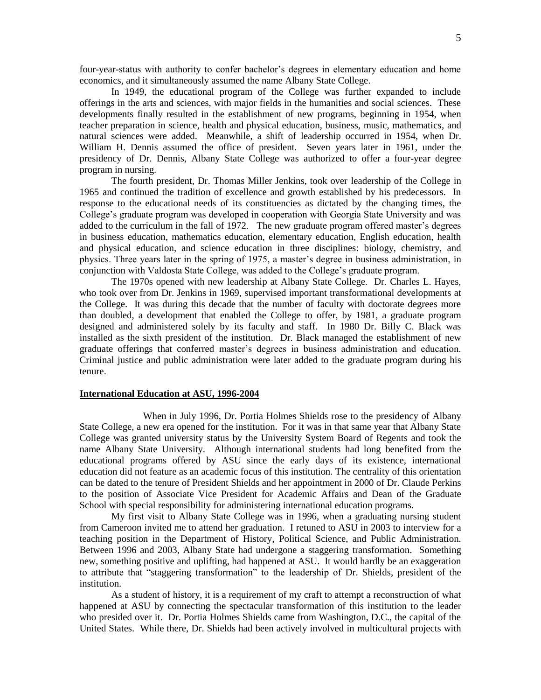four-year-status with authority to confer bachelor's degrees in elementary education and home economics, and it simultaneously assumed the name Albany State College.

In 1949, the educational program of the College was further expanded to include offerings in the arts and sciences, with major fields in the humanities and social sciences. These developments finally resulted in the establishment of new programs, beginning in 1954, when teacher preparation in science, health and physical education, business, music, mathematics, and natural sciences were added. Meanwhile, a shift of leadership occurred in 1954, when Dr. William H. Dennis assumed the office of president. Seven years later in 1961, under the presidency of Dr. Dennis, Albany State College was authorized to offer a four-year degree program in nursing.

The fourth president, Dr. Thomas Miller Jenkins, took over leadership of the College in 1965 and continued the tradition of excellence and growth established by his predecessors. In response to the educational needs of its constituencies as dictated by the changing times, the College's graduate program was developed in cooperation with Georgia State University and was added to the curriculum in the fall of 1972. The new graduate program offered master's degrees in business education, mathematics education, elementary education, English education, health and physical education, and science education in three disciplines: biology, chemistry, and physics. Three years later in the spring of 1975, a master's degree in business administration, in conjunction with Valdosta State College, was added to the College's graduate program.

The 1970s opened with new leadership at Albany State College. Dr. Charles L. Hayes, who took over from Dr. Jenkins in 1969, supervised important transformational developments at the College. It was during this decade that the number of faculty with doctorate degrees more than doubled, a development that enabled the College to offer, by 1981, a graduate program designed and administered solely by its faculty and staff. In 1980 Dr. Billy C. Black was installed as the sixth president of the institution. Dr. Black managed the establishment of new graduate offerings that conferred master's degrees in business administration and education. Criminal justice and public administration were later added to the graduate program during his tenure.

# **International Education at ASU, 1996-2004**

When in July 1996, Dr. Portia Holmes Shields rose to the presidency of Albany State College, a new era opened for the institution. For it was in that same year that Albany State College was granted university status by the University System Board of Regents and took the name Albany State University. Although international students had long benefited from the educational programs offered by ASU since the early days of its existence, international education did not feature as an academic focus of this institution. The centrality of this orientation can be dated to the tenure of President Shields and her appointment in 2000 of Dr. Claude Perkins to the position of Associate Vice President for Academic Affairs and Dean of the Graduate School with special responsibility for administering international education programs.

My first visit to Albany State College was in 1996, when a graduating nursing student from Cameroon invited me to attend her graduation. I retuned to ASU in 2003 to interview for a teaching position in the Department of History, Political Science, and Public Administration. Between 1996 and 2003, Albany State had undergone a staggering transformation. Something new, something positive and uplifting, had happened at ASU. It would hardly be an exaggeration to attribute that "staggering transformation" to the leadership of Dr. Shields, president of the institution.

As a student of history, it is a requirement of my craft to attempt a reconstruction of what happened at ASU by connecting the spectacular transformation of this institution to the leader who presided over it. Dr. Portia Holmes Shields came from Washington, D.C., the capital of the United States. While there, Dr. Shields had been actively involved in multicultural projects with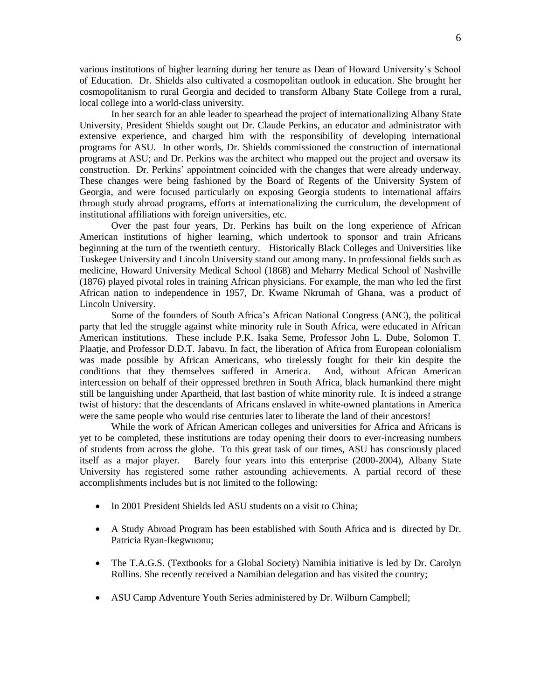various institutions of higher learning during her tenure as Dean of Howard University's School of Education. Dr. Shields also cultivated a cosmopolitan outlook in education. She brought her cosmopolitanism to rural Georgia and decided to transform Albany State College from a rural, local college into a world-class university.

In her search for an able leader to spearhead the project of internationalizing Albany State University, President Shields sought out Dr. Claude Perkins, an educator and administrator with extensive experience, and charged him with the responsibility of developing international programs for ASU. In other words, Dr. Shields commissioned the construction of international programs at ASU; and Dr. Perkins was the architect who mapped out the project and oversaw its construction. Dr. Perkins' appointment coincided with the changes that were already underway. These changes were being fashioned by the Board of Regents of the University System of Georgia, and were focused particularly on exposing Georgia students to international affairs through study abroad programs, efforts at internationalizing the curriculum, the development of institutional affiliations with foreign universities, etc.

Over the past four years, Dr. Perkins has built on the long experience of African American institutions of higher learning, which undertook to sponsor and train Africans beginning at the turn of the twentieth century. Historically Black Colleges and Universities like Tuskegee University and Lincoln University stand out among many. In professional fields such as medicine, Howard University Medical School (1868) and Meharry Medical School of Nashville (1876) played pivotal roles in training African physicians. For example, the man who led the first African nation to independence in 1957, Dr. Kwame Nkrumah of Ghana, was a product of Lincoln University.

Some of the founders of South Africa's African National Congress (ANC), the political party that led the struggle against white minority rule in South Africa, were educated in African American institutions. These include P.K. Isaka Seme, Professor John L. Dube, Solomon T. Plaatje, and Professor D.D.T. Jabavu. In fact, the liberation of Africa from European colonialism was made possible by African Americans, who tirelessly fought for their kin despite the conditions that they themselves suffered in America. And, without African American intercession on behalf of their oppressed brethren in South Africa, black humankind there might still be languishing under Apartheid, that last bastion of white minority rule. It is indeed a strange twist of history: that the descendants of Africans enslaved in white-owned plantations in America were the same people who would rise centuries later to liberate the land of their ancestors!

While the work of African American colleges and universities for Africa and Africans is yet to be completed, these institutions are today opening their doors to ever-increasing numbers of students from across the globe. To this great task of our times, ASU has consciously placed itself as a major player. Barely four years into this enterprise (2000-2004), Albany State University has registered some rather astounding achievements. A partial record of these accomplishments includes but is not limited to the following:

- In 2001 President Shields led ASU students on a visit to China;
- A Study Abroad Program has been established with South Africa and is directed by Dr. Patricia Ryan-Ikegwuonu;
- The T.A.G.S. (Textbooks for a Global Society) Namibia initiative is led by Dr. Carolyn Rollins. She recently received a Namibian delegation and has visited the country;
- ASU Camp Adventure Youth Series administered by Dr. Wilburn Campbell;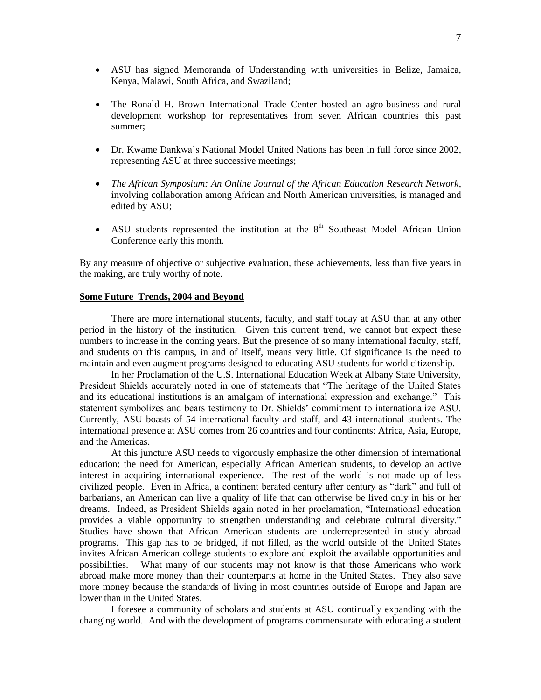- ASU has signed Memoranda of Understanding with universities in Belize, Jamaica, Kenya, Malawi, South Africa, and Swaziland;
- The Ronald H. Brown International Trade Center hosted an agro-business and rural development workshop for representatives from seven African countries this past summer;
- Dr. Kwame Dankwa's National Model United Nations has been in full force since 2002, representing ASU at three successive meetings;
- *The African Symposium: An Online Journal of the African Education Research Network*, involving collaboration among African and North American universities, is managed and edited by ASU;
- ASU students represented the institution at the  $8<sup>th</sup>$  Southeast Model African Union Conference early this month.

By any measure of objective or subjective evaluation, these achievements, less than five years in the making, are truly worthy of note.

# **Some Future Trends, 2004 and Beyond**

There are more international students, faculty, and staff today at ASU than at any other period in the history of the institution. Given this current trend, we cannot but expect these numbers to increase in the coming years. But the presence of so many international faculty, staff, and students on this campus, in and of itself, means very little. Of significance is the need to maintain and even augment programs designed to educating ASU students for world citizenship.

In her Proclamation of the U.S. International Education Week at Albany State University, President Shields accurately noted in one of statements that "The heritage of the United States and its educational institutions is an amalgam of international expression and exchange." This statement symbolizes and bears testimony to Dr. Shields' commitment to internationalize ASU. Currently, ASU boasts of 54 international faculty and staff, and 43 international students. The international presence at ASU comes from 26 countries and four continents: Africa, Asia, Europe, and the Americas.

At this juncture ASU needs to vigorously emphasize the other dimension of international education: the need for American, especially African American students, to develop an active interest in acquiring international experience. The rest of the world is not made up of less civilized people. Even in Africa, a continent berated century after century as "dark" and full of barbarians, an American can live a quality of life that can otherwise be lived only in his or her dreams. Indeed, as President Shields again noted in her proclamation, "International education provides a viable opportunity to strengthen understanding and celebrate cultural diversity." Studies have shown that African American students are underrepresented in study abroad programs. This gap has to be bridged, if not filled, as the world outside of the United States invites African American college students to explore and exploit the available opportunities and possibilities. What many of our students may not know is that those Americans who work abroad make more money than their counterparts at home in the United States. They also save more money because the standards of living in most countries outside of Europe and Japan are lower than in the United States.

I foresee a community of scholars and students at ASU continually expanding with the changing world. And with the development of programs commensurate with educating a student